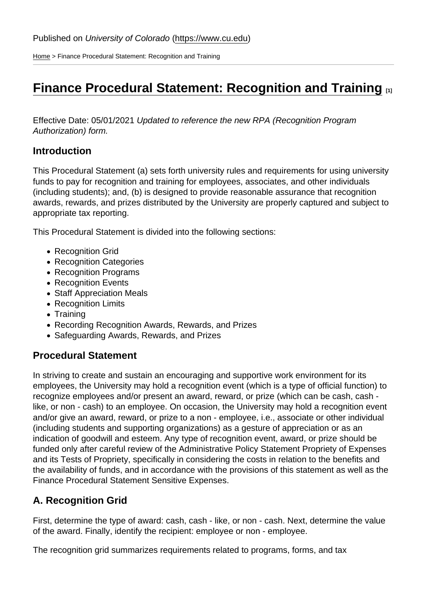[Home](https://www.cu.edu/) > Finance Procedural Statement: Recognition and Training

# [Finance Procedural Statement: Recognition and Training](https://www.cu.edu/controller/procedures/finance-procedural-statements/finance-procedural-statement-recognition-and)  $\Box$

Effective Date: 05/01/2021 Updated to reference the new RPA (Recognition Program Authorization) form.

#### Introduction

This Procedural Statement (a) sets forth university rules and requirements for using university funds to pay for recognition and training for employees, associates, and other individuals (including students); and, (b) is designed to provide reasonable assurance that recognition awards, rewards, and prizes distributed by the University are properly captured and subject to appropriate tax reporting.

This Procedural Statement is divided into the following sections:

- Recognition Grid
- Recognition Categories
- Recognition Programs
- Recognition Events
- Staff Appreciation Meals
- Recognition Limits
- Training
- Recording Recognition Awards, Rewards, and Prizes
- Safeguarding Awards, Rewards, and Prizes

### Procedural Statement

In striving to create and sustain an encouraging and supportive work environment for its employees, the University may hold a recognition event (which is a type of official function) to recognize employees and/or present an award, reward, or prize (which can be cash, cash like, or non - cash) to an employee. On occasion, the University may hold a recognition event and/or give an award, reward, or prize to a non - employee, i.e., associate or other individual (including students and supporting organizations) as a gesture of appreciation or as an indication of goodwill and esteem. Any type of recognition event, award, or prize should be funded only after careful review of the Administrative Policy Statement Propriety of Expenses and its Tests of Propriety, specifically in considering the costs in relation to the benefits and the availability of funds, and in accordance with the provisions of this statement as well as the Finance Procedural Statement Sensitive Expenses.

### A. Recognition Grid

First, determine the type of award: cash, cash - like, or non - cash. Next, determine the value of the award. Finally, identify the recipient: employee or non - employee.

The recognition grid summarizes requirements related to programs, forms, and tax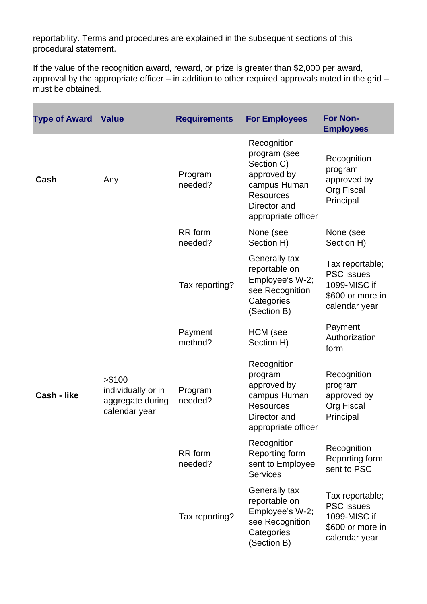reportability. Terms and procedures are explained in the subsequent sections of this procedural statement.

If the value of the recognition award, reward, or prize is greater than \$2,000 per award, approval by the appropriate officer – in addition to other required approvals noted in the grid – must be obtained.

| <b>Type of Award Value</b> |                                                                    | <b>Requirements</b> | <b>For Employees</b>                                                                                                                | <b>For Non-</b><br><b>Employees</b>                                                       |
|----------------------------|--------------------------------------------------------------------|---------------------|-------------------------------------------------------------------------------------------------------------------------------------|-------------------------------------------------------------------------------------------|
| Cash                       | Any                                                                | Program<br>needed?  | Recognition<br>program (see<br>Section C)<br>approved by<br>campus Human<br><b>Resources</b><br>Director and<br>appropriate officer | Recognition<br>program<br>approved by<br>Org Fiscal<br>Principal                          |
|                            |                                                                    | RR form<br>needed?  | None (see<br>Section H)                                                                                                             | None (see<br>Section H)                                                                   |
|                            |                                                                    | Tax reporting?      | Generally tax<br>reportable on<br>Employee's W-2;<br>see Recognition<br>Categories<br>(Section B)                                   | Tax reportable;<br><b>PSC</b> issues<br>1099-MISC if<br>\$600 or more in<br>calendar year |
|                            |                                                                    | Payment<br>method?  | HCM (see<br>Section H)                                                                                                              | Payment<br>Authorization<br>form                                                          |
| Cash - like                | > \$100<br>individually or in<br>aggregate during<br>calendar year | Program<br>needed?  | Recognition<br>program<br>approved by<br>campus Human<br><b>Resources</b><br>Director and<br>appropriate officer                    | Recognition<br>program<br>approved by<br>Org Fiscal<br>Principal                          |
|                            |                                                                    | RR form<br>needed?  | Recognition<br>Reporting form<br>sent to Employee<br><b>Services</b>                                                                | Recognition<br>Reporting form<br>sent to PSC                                              |
|                            |                                                                    | Tax reporting?      | Generally tax<br>reportable on<br>Employee's W-2;<br>see Recognition<br>Categories<br>(Section B)                                   | Tax reportable;<br><b>PSC</b> issues<br>1099-MISC if<br>\$600 or more in<br>calendar year |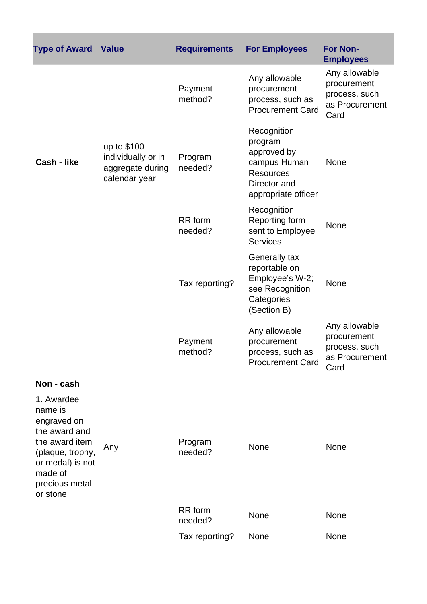| <b>Type of Award Value</b>                                                                                                                               |                                                                        | <b>Requirements</b> | <b>For Employees</b>                                                                                             | <b>For Non-</b><br><b>Employees</b>                                     |
|----------------------------------------------------------------------------------------------------------------------------------------------------------|------------------------------------------------------------------------|---------------------|------------------------------------------------------------------------------------------------------------------|-------------------------------------------------------------------------|
|                                                                                                                                                          |                                                                        | Payment<br>method?  | Any allowable<br>procurement<br>process, such as<br><b>Procurement Card</b>                                      | Any allowable<br>procurement<br>process, such<br>as Procurement<br>Card |
| Cash - like                                                                                                                                              | up to \$100<br>individually or in<br>aggregate during<br>calendar year | Program<br>needed?  | Recognition<br>program<br>approved by<br>campus Human<br><b>Resources</b><br>Director and<br>appropriate officer | None                                                                    |
|                                                                                                                                                          |                                                                        | RR form<br>needed?  | Recognition<br>Reporting form<br>sent to Employee<br><b>Services</b>                                             | <b>None</b>                                                             |
|                                                                                                                                                          |                                                                        | Tax reporting?      | Generally tax<br>reportable on<br>Employee's W-2;<br>see Recognition<br>Categories<br>(Section B)                | None                                                                    |
|                                                                                                                                                          |                                                                        | Payment<br>method?  | Any allowable<br>procurement<br>process, such as<br><b>Procurement Card</b>                                      | Any allowable<br>procurement<br>process, such<br>as Procurement<br>Card |
| Non - cash                                                                                                                                               |                                                                        |                     |                                                                                                                  |                                                                         |
| 1. Awardee<br>name is<br>engraved on<br>the award and<br>the award item<br>(plaque, trophy,<br>or medal) is not<br>made of<br>precious metal<br>or stone | Any                                                                    | Program<br>needed?  | <b>None</b>                                                                                                      | None                                                                    |
|                                                                                                                                                          |                                                                        | RR form<br>needed?  | <b>None</b>                                                                                                      | None                                                                    |
|                                                                                                                                                          |                                                                        | Tax reporting?      | None                                                                                                             | None                                                                    |

×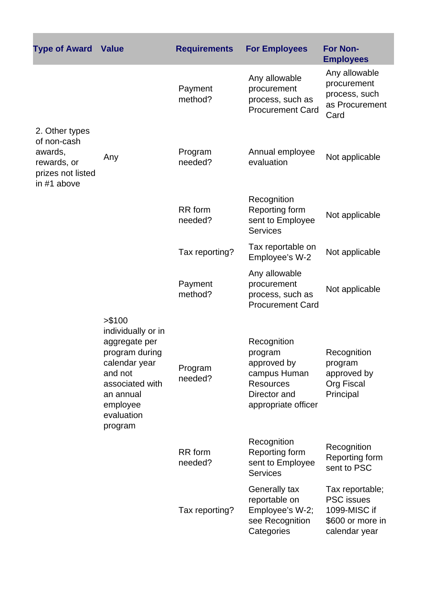| <b>Type of Award Value</b>                                                                  |                                                                                                                                                                   | <b>Requirements</b> | <b>For Employees</b>                                                                                             | <b>For Non-</b><br><b>Employees</b>                                                       |
|---------------------------------------------------------------------------------------------|-------------------------------------------------------------------------------------------------------------------------------------------------------------------|---------------------|------------------------------------------------------------------------------------------------------------------|-------------------------------------------------------------------------------------------|
|                                                                                             |                                                                                                                                                                   | Payment<br>method?  | Any allowable<br>procurement<br>process, such as<br><b>Procurement Card</b>                                      | Any allowable<br>procurement<br>process, such<br>as Procurement<br>Card                   |
| 2. Other types<br>of non-cash<br>awards,<br>rewards, or<br>prizes not listed<br>in #1 above | Any                                                                                                                                                               | Program<br>needed?  | Annual employee<br>evaluation                                                                                    | Not applicable                                                                            |
|                                                                                             |                                                                                                                                                                   | RR form<br>needed?  | Recognition<br>Reporting form<br>sent to Employee<br><b>Services</b>                                             | Not applicable                                                                            |
|                                                                                             |                                                                                                                                                                   | Tax reporting?      | Tax reportable on<br>Employee's W-2                                                                              | Not applicable                                                                            |
|                                                                                             |                                                                                                                                                                   | Payment<br>method?  | Any allowable<br>procurement<br>process, such as<br><b>Procurement Card</b>                                      | Not applicable                                                                            |
|                                                                                             | > \$100<br>individually or in<br>aggregate per<br>program during<br>calendar year<br>and not<br>associated with<br>an annual<br>employee<br>evaluation<br>program | Program<br>needed?  | Recognition<br>program<br>approved by<br>campus Human<br><b>Resources</b><br>Director and<br>appropriate officer | Recognition<br>program<br>approved by<br><b>Org Fiscal</b><br>Principal                   |
|                                                                                             |                                                                                                                                                                   | RR form<br>needed?  | Recognition<br>Reporting form<br>sent to Employee<br><b>Services</b>                                             | Recognition<br>Reporting form<br>sent to PSC                                              |
|                                                                                             |                                                                                                                                                                   | Tax reporting?      | Generally tax<br>reportable on<br>Employee's W-2;<br>see Recognition<br>Categories                               | Tax reportable;<br><b>PSC</b> issues<br>1099-MISC if<br>\$600 or more in<br>calendar year |

ī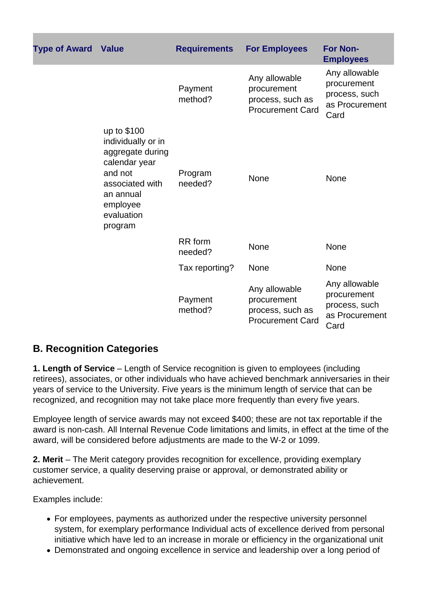| <b>Type of Award Value</b> |                                                                                                                                                        | <b>Requirements</b>       | <b>For Employees</b>                                                        | <b>For Non-</b><br><b>Employees</b>                                     |
|----------------------------|--------------------------------------------------------------------------------------------------------------------------------------------------------|---------------------------|-----------------------------------------------------------------------------|-------------------------------------------------------------------------|
|                            |                                                                                                                                                        | Payment<br>method?        | Any allowable<br>procurement<br>process, such as<br><b>Procurement Card</b> | Any allowable<br>procurement<br>process, such<br>as Procurement<br>Card |
|                            | up to \$100<br>individually or in<br>aggregate during<br>calendar year<br>and not<br>associated with<br>an annual<br>employee<br>evaluation<br>program | Program<br>needed?        | <b>None</b>                                                                 | None                                                                    |
|                            |                                                                                                                                                        | <b>RR</b> form<br>needed? | None                                                                        | None                                                                    |
|                            |                                                                                                                                                        | Tax reporting?            | <b>None</b>                                                                 | None                                                                    |
|                            |                                                                                                                                                        | Payment<br>method?        | Any allowable<br>procurement<br>process, such as<br><b>Procurement Card</b> | Any allowable<br>procurement<br>process, such<br>as Procurement<br>Card |

## **B. Recognition Categories**

**1. Length of Service** – Length of Service recognition is given to employees (including retirees), associates, or other individuals who have achieved benchmark anniversaries in their years of service to the University. Five years is the minimum length of service that can be recognized, and recognition may not take place more frequently than every five years.

Employee length of service awards may not exceed \$400; these are not tax reportable if the award is non-cash. All Internal Revenue Code limitations and limits, in effect at the time of the award, will be considered before adjustments are made to the W-2 or 1099.

**2. Merit** – The Merit category provides recognition for excellence, providing exemplary customer service, a quality deserving praise or approval, or demonstrated ability or achievement.

Examples include:

- For employees, payments as authorized under the respective university personnel system, for exemplary performance Individual acts of excellence derived from personal initiative which have led to an increase in morale or efficiency in the organizational unit
- Demonstrated and ongoing excellence in service and leadership over a long period of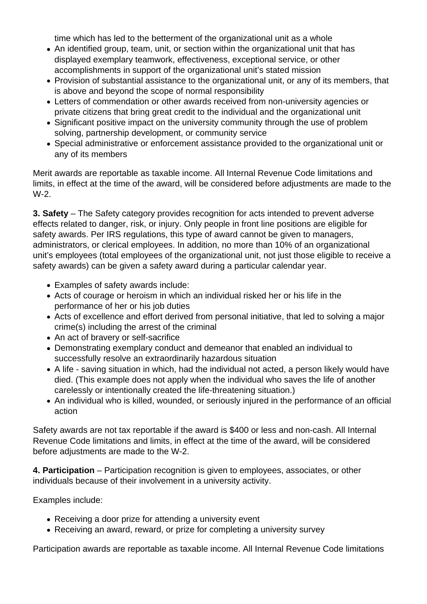time which has led to the betterment of the organizational unit as a whole

- An identified group, team, unit, or section within the organizational unit that has displayed exemplary teamwork, effectiveness, exceptional service, or other accomplishments in support of the organizational unit's stated mission
- Provision of substantial assistance to the organizational unit, or any of its members, that is above and beyond the scope of normal responsibility
- Letters of commendation or other awards received from non-university agencies or private citizens that bring great credit to the individual and the organizational unit
- Significant positive impact on the university community through the use of problem solving, partnership development, or community service
- Special administrative or enforcement assistance provided to the organizational unit or any of its members

Merit awards are reportable as taxable income. All Internal Revenue Code limitations and limits, in effect at the time of the award, will be considered before adjustments are made to the W-2.

**3. Safety** – The Safety category provides recognition for acts intended to prevent adverse effects related to danger, risk, or injury. Only people in front line positions are eligible for safety awards. Per IRS regulations, this type of award cannot be given to managers, administrators, or clerical employees. In addition, no more than 10% of an organizational unit's employees (total employees of the organizational unit, not just those eligible to receive a safety awards) can be given a safety award during a particular calendar year.

- Examples of safety awards include:
- Acts of courage or heroism in which an individual risked her or his life in the performance of her or his job duties
- Acts of excellence and effort derived from personal initiative, that led to solving a major crime(s) including the arrest of the criminal
- An act of bravery or self-sacrifice
- Demonstrating exemplary conduct and demeanor that enabled an individual to successfully resolve an extraordinarily hazardous situation
- A life saving situation in which, had the individual not acted, a person likely would have died. (This example does not apply when the individual who saves the life of another carelessly or intentionally created the life-threatening situation.)
- An individual who is killed, wounded, or seriously injured in the performance of an official action

Safety awards are not tax reportable if the award is \$400 or less and non-cash. All Internal Revenue Code limitations and limits, in effect at the time of the award, will be considered before adjustments are made to the W-2.

**4. Participation** – Participation recognition is given to employees, associates, or other individuals because of their involvement in a university activity.

Examples include:

- Receiving a door prize for attending a university event
- Receiving an award, reward, or prize for completing a university survey

Participation awards are reportable as taxable income. All Internal Revenue Code limitations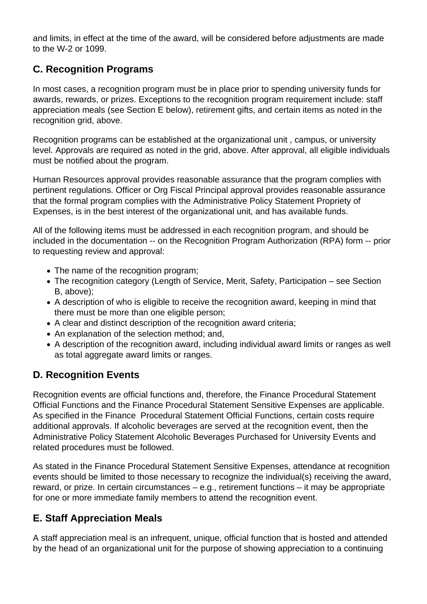and limits, in effect at the time of the award, will be considered before adjustments are made to the W-2 or 1099.

## **C. Recognition Programs**

In most cases, a recognition program must be in place prior to spending university funds for awards, rewards, or prizes. Exceptions to the recognition program requirement include: staff appreciation meals (see Section E below), retirement gifts, and certain items as noted in the recognition grid, above.

Recognition programs can be established at the organizational unit , campus, or university level. Approvals are required as noted in the grid, above. After approval, all eligible individuals must be notified about the program.

Human Resources approval provides reasonable assurance that the program complies with pertinent regulations. Officer or Org Fiscal Principal approval provides reasonable assurance that the formal program complies with the Administrative Policy Statement Propriety of Expenses, is in the best interest of the organizational unit, and has available funds.

All of the following items must be addressed in each recognition program, and should be included in the documentation -- on the Recognition Program Authorization (RPA) form -- prior to requesting review and approval:

- The name of the recognition program;
- The recognition category (Length of Service, Merit, Safety, Participation see Section B, above);
- A description of who is eligible to receive the recognition award, keeping in mind that there must be more than one eligible person;
- A clear and distinct description of the recognition award criteria;
- An explanation of the selection method; and,
- A description of the recognition award, including individual award limits or ranges as well as total aggregate award limits or ranges.

## **D. Recognition Events**

Recognition events are official functions and, therefore, the Finance Procedural Statement Official Functions and the Finance Procedural Statement Sensitive Expenses are applicable. As specified in the Finance Procedural Statement Official Functions, certain costs require additional approvals. If alcoholic beverages are served at the recognition event, then the Administrative Policy Statement Alcoholic Beverages Purchased for University Events and related procedures must be followed.

As stated in the Finance Procedural Statement Sensitive Expenses, attendance at recognition events should be limited to those necessary to recognize the individual(s) receiving the award, reward, or prize. In certain circumstances – e.g., retirement functions – it may be appropriate for one or more immediate family members to attend the recognition event.

## **E. Staff Appreciation Meals**

A staff appreciation meal is an infrequent, unique, official function that is hosted and attended by the head of an organizational unit for the purpose of showing appreciation to a continuing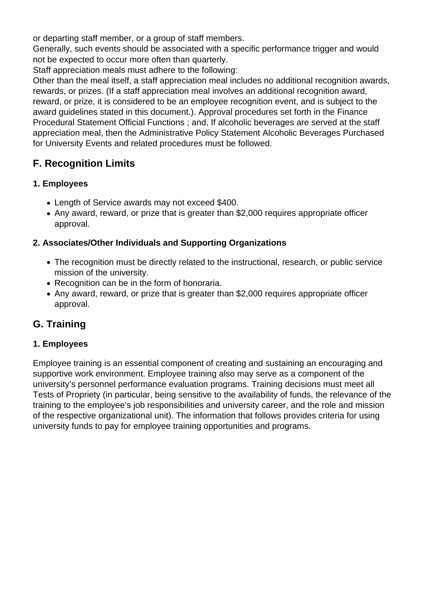or departing staff member, or a group of staff members.

Generally, such events should be associated with a specific performance trigger and would not be expected to occur more often than quarterly.

Staff appreciation meals must adhere to the following:

Other than the meal itself, a staff appreciation meal includes no additional recognition awards, rewards, or prizes. (If a staff appreciation meal involves an additional recognition award, reward, or prize, it is considered to be an employee recognition event, and is subject to the award guidelines stated in this document.). Approval procedures set forth in the Finance Procedural Statement Official Functions ; and, If alcoholic beverages are served at the staff appreciation meal, then the Administrative Policy Statement Alcoholic Beverages Purchased for University Events and related procedures must be followed.

## **F. Recognition Limits**

### **1. Employees**

- Length of Service awards may not exceed \$400.
- Any award, reward, or prize that is greater than \$2,000 requires appropriate officer approval.

### **2. Associates/Other Individuals and Supporting Organizations**

- The recognition must be directly related to the instructional, research, or public service mission of the university.
- Recognition can be in the form of honoraria.
- Any award, reward, or prize that is greater than \$2,000 requires appropriate officer approval.

## **G. Training**

### **1. Employees**

Employee training is an essential component of creating and sustaining an encouraging and supportive work environment. Employee training also may serve as a component of the university's personnel performance evaluation programs. Training decisions must meet all Tests of Propriety (in particular, being sensitive to the availability of funds, the relevance of the training to the employee's job responsibilities and university career, and the role and mission of the respective organizational unit). The information that follows provides criteria for using university funds to pay for employee training opportunities and programs.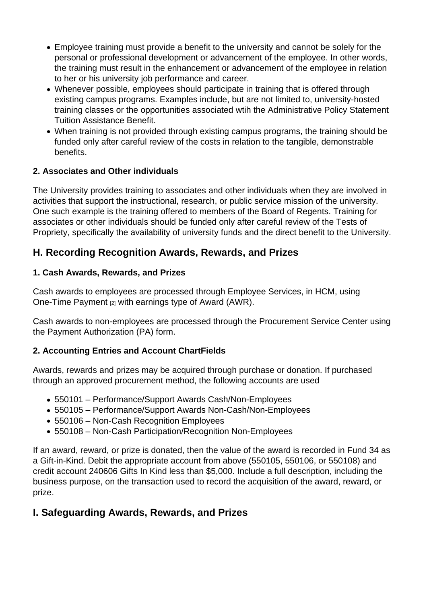- Employee training must provide a benefit to the university and cannot be solely for the personal or professional development or advancement of the employee. In other words, the training must result in the enhancement or advancement of the employee in relation to her or his university job performance and career.
- Whenever possible, employees should participate in training that is offered through existing campus programs. Examples include, but are not limited to, university-hosted training classes or the opportunities associated wtih the Administrative Policy Statement Tuition Assistance Benefit.
- When training is not provided through existing campus programs, the training should be funded only after careful review of the costs in relation to the tangible, demonstrable benefits.
- 2. Associates and Other individuals

The University provides training to associates and other individuals when they are involved in activities that support the instructional, research, or public service mission of the university. One such example is the training offered to members of the Board of Regents. Training for associates or other individuals should be funded only after careful review of the Tests of Propriety, specifically the availability of university funds and the direct benefit to the University.

H. Recording Recognition Awards, Rewards, and Prizes

1. Cash Awards, Rewards, and Prizes

Cash awards to employees are processed through Employee Services, in HCM, using [One-Time Payment](https://www.cu.edu/employee-services/additional-pay-formerly-one-time-payment) [2] with earnings type of Award (AWR).

Cash awards to non-employees are processed through the Procurement Service Center using the Payment Authorization (PA) form.

2. Accounting Entries and Account ChartFields

Awards, rewards and prizes may be acquired through purchase or donation. If purchased through an approved procurement method, the following accounts are used

- 550101 Performance/Support Awards Cash/Non-Employees
- 550105 Performance/Support Awards Non-Cash/Non-Employees
- 550106 Non-Cash Recognition Employees
- 550108 Non-Cash Participation/Recognition Non-Employees

If an award, reward, or prize is donated, then the value of the award is recorded in Fund 34 as a Gift-in-Kind. Debit the appropriate account from above (550105, 550106, or 550108) and credit account 240606 Gifts In Kind less than \$5,000. Include a full description, including the business purpose, on the transaction used to record the acquisition of the award, reward, or prize.

I. Safeguarding Awards, Rewards, and Prizes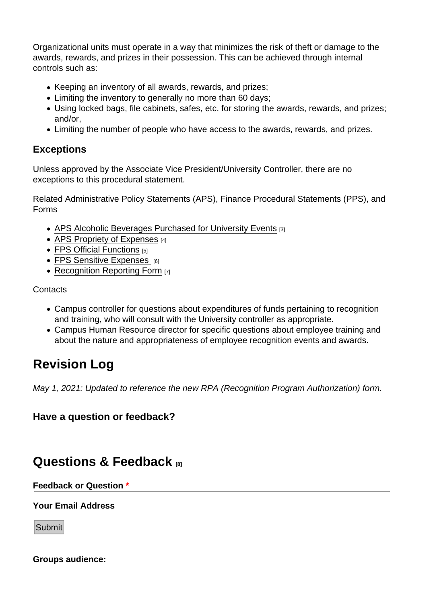Organizational units must operate in a way that minimizes the risk of theft or damage to the awards, rewards, and prizes in their possession. This can be achieved through internal controls such as:

- Keeping an inventory of all awards, rewards, and prizes;
- Limiting the inventory to generally no more than 60 days;
- Using locked bags, file cabinets, safes, etc. for storing the awards, rewards, and prizes; and/or,
- Limiting the number of people who have access to the awards, rewards, and prizes.

### **Exceptions**

Unless approved by the Associate Vice President/University Controller, there are no exceptions to this procedural statement.

Related Administrative Policy Statements (APS), Finance Procedural Statements (PPS), and Forms

- [APS Alcoholic Beverages Purchased for University Events](https://www.cu.edu/ope/aps/4018) [3]
- [APS Propriety of Expenses](https://www.cu.edu/ope/aps/4015) [4]
- [FPS Official Functions](https://www.cu.edu/controller/procedures/finance-procedural-statements/finance-procedural-statement-official-functions) [5]
- [FPS Sensitive Expenses](https://www.cu.edu/controller/procedures/finance-procedural-statements/finance-procedural-statement-sensitive-expenses) [6]
- [Recognition Reporting Form](https://www.cu.edu/psc/forms/recognition-reporting-rr) [7]

**Contacts** 

- Campus controller for questions about expenditures of funds pertaining to recognition and training, who will consult with the University controller as appropriate.
- Campus Human Resource director for specific questions about employee training and about the nature and appropriateness of employee recognition events and awards.

# Revision Log

May 1, 2021: Updated to reference the new RPA (Recognition Program Authorization) form.

Have a question or feedback?

## [Questions & Feedback](https://www.cu.edu/controller/forms/questions-feedback-0) [8]

Feedback or Question \*

Your Email Address

Submit

Groups audience: